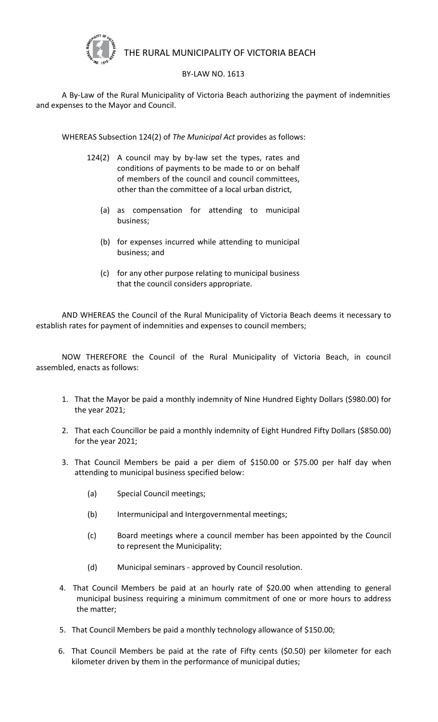

## THE RURAL MUNICIPALITY OF VICTORIA BEACH

## BY-LAW NO. 1613

A By-Law of the Rural Municipality of Victoria Beach authorizing the payment of indemnities and expenses to the Mayor and Council.

WHEREAS Subsection 124(2) of *The Municipal Act* provides as follows:

- 124(2) A council may by by-law set the types, rates and conditions of payments to be made to or on behalf of members of the council and council committees, other than the committee of a local urban district,
	- (a) as compensation for attending to municipal business;
	- (b) for expenses incurred while attending to municipal business; and
	- (c) for any other purpose relating to municipal business that the council considers appropriate.

AND WHEREAS the Council of the Rural Municipality of Victoria Beach deems it necessary to establish rates for payment of indemnities and expenses to council members;

NOW THEREFORE the Council of the Rural Municipality of Victoria Beach, in council assembled, enacts as follows:

- 1. That the Mayor be paid a monthly indemnity of Nine Hundred Eighty Dollars (\$980.00) for the year 2021;
- 2. That each Councillor be paid a monthly indemnity of Eight Hundred Fifty Dollars (\$850.00) for the year 2021;
- 3. That Council Members be paid a per diem of \$150.00 or \$75.00 per half day when attending to municipal business specified below:
	- (a) Special Council meetings;
	- (b) Intermunicipal and Intergovernmental meetings;
	- (c) Board meetings where a council member has been appointed by the Council to represent the Municipality;
	- (d) Municipal seminars approved by Council resolution.
- 4. That Council Members be paid at an hourly rate of \$20.00 when attending to general municipal business requiring a minimum commitment of one or more hours to address the matter;
- 5. That Council Members be paid a monthly technology allowance of \$150.00;
- 6. That Council Members be paid at the rate of Fifty cents (\$0.50) per kilometer for each kilometer driven by them in the performance of municipal duties;